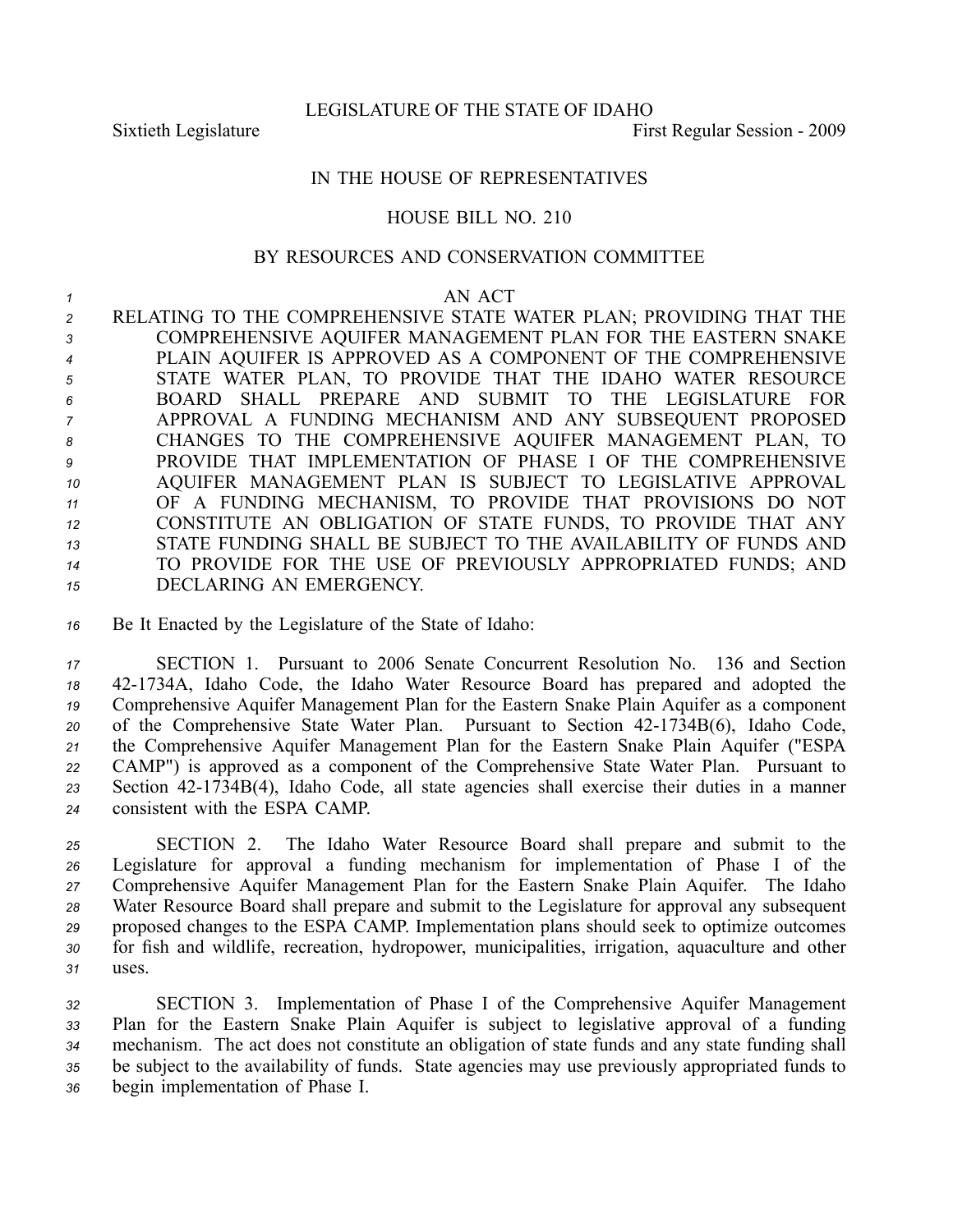LEGISLATURE OF THE STATE OF IDAHO

Sixtieth Legislature First Regular Session - 2009

## IN THE HOUSE OF REPRESENTATIVES

## HOUSE BILL NO. 210

## BY RESOURCES AND CONSERVATION COMMITTEE

## *1* AN ACT

 RELATING TO THE COMPREHENSIVE STATE WATER PLAN; PROVIDING THAT THE COMPREHENSIVE AQUIFER MANAGEMENT PLAN FOR THE EASTERN SNAKE PLAIN AQUIFER IS APPROVED AS A COMPONENT OF THE COMPREHENSIVE STATE WATER PLAN, TO PROVIDE THAT THE IDAHO WATER RESOURCE BOARD SHALL PREPARE AND SUBMIT TO THE LEGISLATURE FOR APPROVAL A FUNDING MECHANISM AND ANY SUBSEQUENT PROPOSED CHANGES TO THE COMPREHENSIVE AQUIFER MANAGEMENT PLAN, TO PROVIDE THAT IMPLEMENTATION OF PHASE I OF THE COMPREHENSIVE AQUIFER MANAGEMENT PLAN IS SUBJECT TO LEGISLATIVE APPROVAL OF A FUNDING MECHANISM, TO PROVIDE THAT PROVISIONS DO NOT CONSTITUTE AN OBLIGATION OF STATE FUNDS, TO PROVIDE THAT ANY STATE FUNDING SHALL BE SUBJECT TO THE AVAILABILITY OF FUNDS AND TO PROVIDE FOR THE USE OF PREVIOUSLY APPROPRIATED FUNDS; AND DECLARING AN EMERGENCY.

*<sup>16</sup>* Be It Enacted by the Legislature of the State of Idaho:

 SECTION 1. Pursuant to 2006 Senate Concurrent Resolution No. 136 and Section 421734A, Idaho Code, the Idaho Water Resource Board has prepared and adopted the Comprehensive Aquifer Management Plan for the Eastern Snake Plain Aquifer as <sup>a</sup> componen<sup>t</sup> 20 of the Comprehensive State Water Plan. Pursuant to Section 42-1734B(6), Idaho Code, the Comprehensive Aquifer Management Plan for the Eastern Snake Plain Aquifer ("ESPA CAMP") is approved as <sup>a</sup> componen<sup>t</sup> of the Comprehensive State Water Plan. Pursuant to Section 421734B(4), Idaho Code, all state agencies shall exercise their duties in <sup>a</sup> manner consistent with the ESPA CAMP.

 SECTION 2. The Idaho Water Resource Board shall prepare and submit to the Legislature for approval <sup>a</sup> funding mechanism for implementation of Phase I of the Comprehensive Aquifer Management Plan for the Eastern Snake Plain Aquifer. The Idaho Water Resource Board shall prepare and submit to the Legislature for approval any subsequent proposed changes to the ESPA CAMP. Implementation plans should seek to optimize outcomes for fish and wildlife, recreation, hydropower, municipalities, irrigation, aquaculture and other *31* uses.

 SECTION 3. Implementation of Phase I of the Comprehensive Aquifer Management Plan for the Eastern Snake Plain Aquifer is subject to legislative approval of <sup>a</sup> funding mechanism. The act does not constitute an obligation of state funds and any state funding shall be subject to the availability of funds. State agencies may use previously appropriated funds to begin implementation of Phase I.